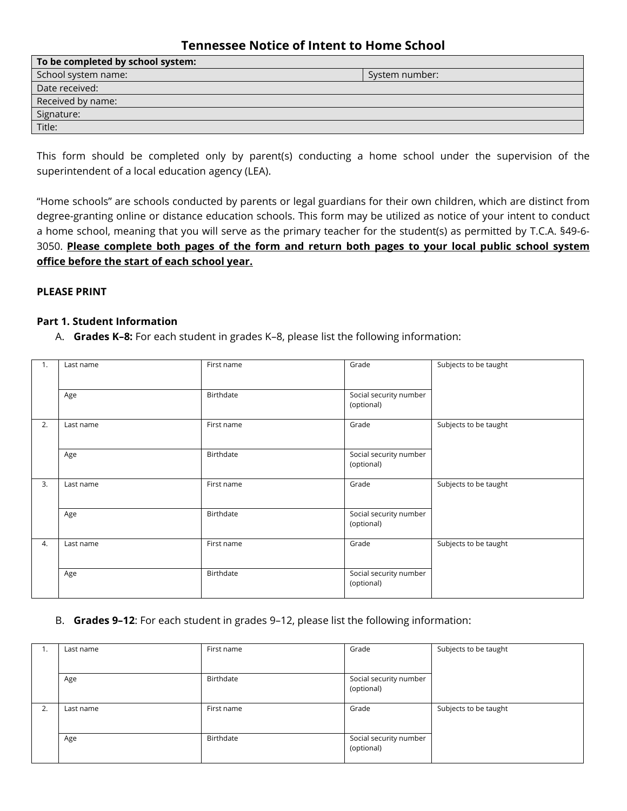# **Tennessee Notice of Intent to Home School**

| To be completed by school system: |                |  |  |
|-----------------------------------|----------------|--|--|
| School system name:               | System number: |  |  |
| Date received:                    |                |  |  |
| Received by name:                 |                |  |  |
| Signature:                        |                |  |  |
| Title:                            |                |  |  |
|                                   |                |  |  |

This form should be completed only by parent(s) conducting a home school under the supervision of the superintendent of a local education agency (LEA).

"Home schools" are schools conducted by parents or legal guardians for their own children, which are distinct from degree-granting online or distance education schools. This form may be utilized as notice of your intent to conduct a home school, meaning that you will serve as the primary teacher for the student(s) as permitted by T.C.A. §49-6- 3050. **Please complete both pages of the form and return both pages to your local public school system office before the start of each school year.**

#### **PLEASE PRINT**

#### **Part 1. Student Information**

A. **Grades K–8:** For each student in grades K–8, please list the following information:

| 1. | Last name | First name | Grade                                | Subjects to be taught |
|----|-----------|------------|--------------------------------------|-----------------------|
|    | Age       | Birthdate  | Social security number<br>(optional) |                       |
| 2. | Last name | First name | Grade                                | Subjects to be taught |
|    | Age       | Birthdate  | Social security number<br>(optional) |                       |
| 3. | Last name | First name | Grade                                | Subjects to be taught |
|    | Age       | Birthdate  | Social security number<br>(optional) |                       |
| 4. | Last name | First name | Grade                                | Subjects to be taught |
|    | Age       | Birthdate  | Social security number<br>(optional) |                       |

#### B. **Grades 9–12**: For each student in grades 9–12, please list the following information:

| ., | Last name | First name | Grade                                | Subjects to be taught |
|----|-----------|------------|--------------------------------------|-----------------------|
|    |           |            |                                      |                       |
|    | Age       | Birthdate  | Social security number<br>(optional) |                       |
| 2. | Last name | First name | Grade                                | Subjects to be taught |
|    | Age       | Birthdate  | Social security number<br>(optional) |                       |